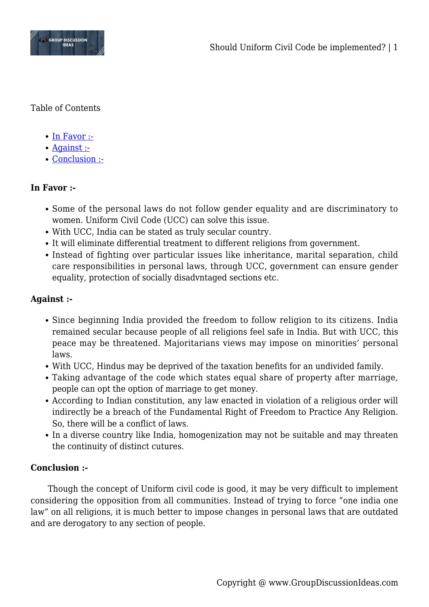

Table of Contents

- $\bullet$  [In Favor :-](#page--1-0)
- [Against :-](#page--1-0)
- [Conclusion :-](#page--1-0)

## **In Favor :-**

- Some of the personal laws do not follow gender equality and are discriminatory to women. Uniform Civil Code (UCC) can solve this issue.
- With UCC, India can be stated as truly secular country.
- It will eliminate differential treatment to different religions from government.
- Instead of fighting over particular issues like inheritance, marital separation, child care responsibilities in personal laws, through UCC, government can ensure gender equality, protection of socially disadvntaged sections etc.

## **Against :-**

- Since beginning India provided the freedom to follow religion to its citizens. India remained secular because people of all religions feel safe in India. But with UCC, this peace may be threatened. Majoritarians views may impose on minorities' personal laws.
- With UCC, Hindus may be deprived of the taxation benefits for an undivided family.
- Taking advantage of the code which states equal share of property after marriage, people can opt the option of marriage to get money.
- According to Indian constitution, any law enacted in violation of a religious order will indirectly be a breach of the Fundamental Right of Freedom to Practice Any Religion. So, there will be a conflict of laws.
- In a diverse country like India, homogenization may not be suitable and may threaten the continuity of distinct cutures.

## **Conclusion :-**

Though the concept of Uniform civil code is good, it may be very difficult to implement considering the opposition from all communities. Instead of trying to force "one india one law" on all religions, it is much better to impose changes in personal laws that are outdated and are derogatory to any section of people.